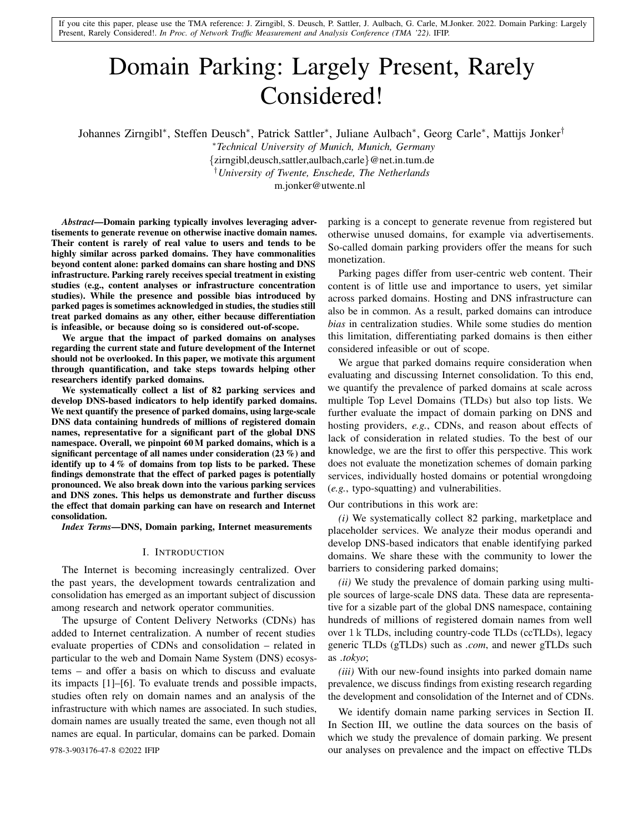If you cite this paper, please use the TMA reference: J. Zirngibl, S. Deusch, P. Sattler, J. Aulbach, G. Carle, M.Jonker. 2022. Domain Parking: Largely Present, Rarely Considered!. *In Proc. of Network Traffic Measurement and Analysis Conference (TMA '22)*. IFIP.

# Domain Parking: Largely Present, Rarely Considered!

Johannes Zirngibl<sup>∗</sup> , Steffen Deusch<sup>∗</sup> , Patrick Sattler<sup>∗</sup> , Juliane Aulbach<sup>∗</sup> , Georg Carle<sup>∗</sup> , Mattijs Jonker†

<sup>∗</sup>*Technical University of Munich, Munich, Germany* {zirngibl,deusch,sattler,aulbach,carle}@net.in.tum.de †*University of Twente, Enschede, The Netherlands*

m.jonker@utwente.nl

*Abstract*—Domain parking typically involves leveraging advertisements to generate revenue on otherwise inactive domain names. Their content is rarely of real value to users and tends to be highly similar across parked domains. They have commonalities beyond content alone: parked domains can share hosting and DNS infrastructure. Parking rarely receives special treatment in existing studies (e.g., content analyses or infrastructure concentration studies). While the presence and possible bias introduced by parked pages is sometimes acknowledged in studies, the studies still treat parked domains as any other, either because differentiation is infeasible, or because doing so is considered out-of-scope.

We argue that the impact of parked domains on analyses regarding the current state and future development of the Internet should not be overlooked. In this paper, we motivate this argument through quantification, and take steps towards helping other researchers identify parked domains.

We systematically collect a list of 82 parking services and develop DNS-based indicators to help identify parked domains. We next quantify the presence of parked domains, using large-scale DNS data containing hundreds of millions of registered domain names, representative for a significant part of the global DNS namespace. Overall, we pinpoint 60 M parked domains, which is a significant percentage of all names under consideration (23 %) and identify up to 4 % of domains from top lists to be parked. These findings demonstrate that the effect of parked pages is potentially pronounced. We also break down into the various parking services and DNS zones. This helps us demonstrate and further discuss the effect that domain parking can have on research and Internet consolidation.

*Index Terms*—DNS, Domain parking, Internet measurements

#### I. INTRODUCTION

The Internet is becoming increasingly centralized. Over the past years, the development towards centralization and consolidation has emerged as an important subject of discussion among research and network operator communities.

The upsurge of Content Delivery Networks (CDNs) has added to Internet centralization. A number of recent studies evaluate properties of CDNs and consolidation – related in particular to the web and Domain Name System (DNS) ecosystems – and offer a basis on which to discuss and evaluate its impacts [1]–[6]. To evaluate trends and possible impacts, studies often rely on domain names and an analysis of the infrastructure with which names are associated. In such studies, domain names are usually treated the same, even though not all names are equal. In particular, domains can be parked. Domain

parking is a concept to generate revenue from registered but otherwise unused domains, for example via advertisements. So-called domain parking providers offer the means for such monetization.

Parking pages differ from user-centric web content. Their content is of little use and importance to users, yet similar across parked domains. Hosting and DNS infrastructure can also be in common. As a result, parked domains can introduce *bias* in centralization studies. While some studies do mention this limitation, differentiating parked domains is then either considered infeasible or out of scope.

We argue that parked domains require consideration when evaluating and discussing Internet consolidation. To this end, we quantify the prevalence of parked domains at scale across multiple Top Level Domains (TLDs) but also top lists. We further evaluate the impact of domain parking on DNS and hosting providers, *e.g.*, CDNs, and reason about effects of lack of consideration in related studies. To the best of our knowledge, we are the first to offer this perspective. This work does not evaluate the monetization schemes of domain parking services, individually hosted domains or potential wrongdoing (*e.g.*, typo-squatting) and vulnerabilities.

Our contributions in this work are:

*(i)* We systematically collect 82 parking, marketplace and placeholder services. We analyze their modus operandi and develop DNS-based indicators that enable identifying parked domains. We share these with the community to lower the barriers to considering parked domains;

*(ii)* We study the prevalence of domain parking using multiple sources of large-scale DNS data. These data are representative for a sizable part of the global DNS namespace, containing hundreds of millions of registered domain names from well over 1 k TLDs, including country-code TLDs (ccTLDs), legacy generic TLDs (gTLDs) such as *.com*, and newer gTLDs such as *.tokyo*;

*(iii)* With our new-found insights into parked domain name prevalence, we discuss findings from existing research regarding the development and consolidation of the Internet and of CDNs.

We identify domain name parking services in Section II. In Section III, we outline the data sources on the basis of which we study the prevalence of domain parking. We present 978-3-903176-47-8 ©2022 IFIP our analyses on prevalence and the impact on effective TLDs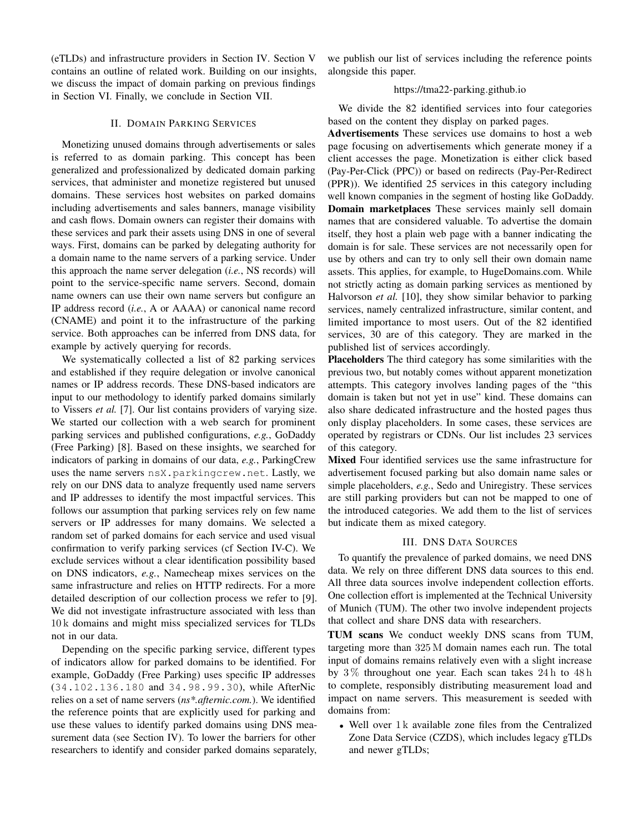(eTLDs) and infrastructure providers in Section IV. Section V contains an outline of related work. Building on our insights, we discuss the impact of domain parking on previous findings in Section VI. Finally, we conclude in Section VII.

#### II. DOMAIN PARKING SERVICES

Monetizing unused domains through advertisements or sales is referred to as domain parking. This concept has been generalized and professionalized by dedicated domain parking services, that administer and monetize registered but unused domains. These services host websites on parked domains including advertisements and sales banners, manage visibility and cash flows. Domain owners can register their domains with these services and park their assets using DNS in one of several ways. First, domains can be parked by delegating authority for a domain name to the name servers of a parking service. Under this approach the name server delegation (*i.e.*, NS records) will point to the service-specific name servers. Second, domain name owners can use their own name servers but configure an IP address record (*i.e.*, A or AAAA) or canonical name record (CNAME) and point it to the infrastructure of the parking service. Both approaches can be inferred from DNS data, for example by actively querying for records.

We systematically collected a list of 82 parking services and established if they require delegation or involve canonical names or IP address records. These DNS-based indicators are input to our methodology to identify parked domains similarly to Vissers *et al.* [7]. Our list contains providers of varying size. We started our collection with a web search for prominent parking services and published configurations, *e.g.*, GoDaddy (Free Parking) [8]. Based on these insights, we searched for indicators of parking in domains of our data, *e.g.*, ParkingCrew uses the name servers nsX.parkingcrew.net. Lastly, we rely on our DNS data to analyze frequently used name servers and IP addresses to identify the most impactful services. This follows our assumption that parking services rely on few name servers or IP addresses for many domains. We selected a random set of parked domains for each service and used visual confirmation to verify parking services (cf Section IV-C). We exclude services without a clear identification possibility based on DNS indicators, *e.g.*, Namecheap mixes services on the same infrastructure and relies on HTTP redirects. For a more detailed description of our collection process we refer to [9]. We did not investigate infrastructure associated with less than 10 k domains and might miss specialized services for TLDs not in our data.

Depending on the specific parking service, different types of indicators allow for parked domains to be identified. For example, GoDaddy (Free Parking) uses specific IP addresses (34.102.136.180 and 34.98.99.30), while AfterNic relies on a set of name servers (*ns\*.afternic.com.*). We identified the reference points that are explicitly used for parking and use these values to identify parked domains using DNS measurement data (see Section IV). To lower the barriers for other researchers to identify and consider parked domains separately, we publish our list of services including the reference points alongside this paper.

# https://tma22-parking.github.io

We divide the 82 identified services into four categories based on the content they display on parked pages.

Advertisements These services use domains to host a web page focusing on advertisements which generate money if a client accesses the page. Monetization is either click based (Pay-Per-Click (PPC)) or based on redirects (Pay-Per-Redirect (PPR)). We identified 25 services in this category including well known companies in the segment of hosting like GoDaddy. Domain marketplaces These services mainly sell domain names that are considered valuable. To advertise the domain itself, they host a plain web page with a banner indicating the domain is for sale. These services are not necessarily open for use by others and can try to only sell their own domain name assets. This applies, for example, to HugeDomains.com. While not strictly acting as domain parking services as mentioned by Halvorson *et al.* [10], they show similar behavior to parking services, namely centralized infrastructure, similar content, and limited importance to most users. Out of the 82 identified services, 30 are of this category. They are marked in the published list of services accordingly.

Placeholders The third category has some similarities with the previous two, but notably comes without apparent monetization attempts. This category involves landing pages of the "this domain is taken but not yet in use" kind. These domains can also share dedicated infrastructure and the hosted pages thus only display placeholders. In some cases, these services are operated by registrars or CDNs. Our list includes 23 services of this category.

Mixed Four identified services use the same infrastructure for advertisement focused parking but also domain name sales or simple placeholders, *e.g.*, Sedo and Uniregistry. These services are still parking providers but can not be mapped to one of the introduced categories. We add them to the list of services but indicate them as mixed category.

# III. DNS DATA SOURCES

To quantify the prevalence of parked domains, we need DNS data. We rely on three different DNS data sources to this end. All three data sources involve independent collection efforts. One collection effort is implemented at the Technical University of Munich (TUM). The other two involve independent projects that collect and share DNS data with researchers.

TUM scans We conduct weekly DNS scans from TUM, targeting more than 325 M domain names each run. The total input of domains remains relatively even with a slight increase by  $3\%$  throughout one year. Each scan takes  $24 h$  to  $48 h$ to complete, responsibly distributing measurement load and impact on name servers. This measurement is seeded with domains from:

• Well over 1 k available zone files from the Centralized Zone Data Service (CZDS), which includes legacy gTLDs and newer gTLDs;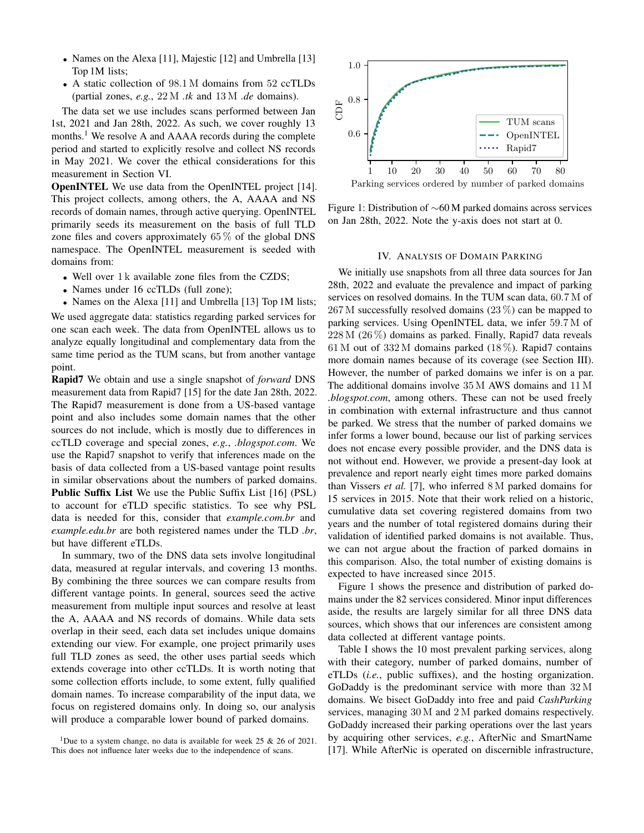- Names on the Alexa [11], Majestic [12] and Umbrella [13] Top 1M lists;
- A static collection of 98.1 M domains from 52 ccTLDs (partial zones, *e.g.*, 22 M *.tk* and 13 M *.de* domains).

The data set we use includes scans performed between Jan 1st, 2021 and Jan 28th, 2022. As such, we cover roughly 13 months.<sup>1</sup> We resolve A and AAAA records during the complete period and started to explicitly resolve and collect NS records in May 2021. We cover the ethical considerations for this measurement in Section VI.

OpenINTEL We use data from the OpenINTEL project [14]. This project collects, among others, the A, AAAA and NS records of domain names, through active querying. OpenINTEL primarily seeds its measurement on the basis of full TLD zone files and covers approximately  $65\%$  of the global DNS namespace. The OpenINTEL measurement is seeded with domains from:

- Well over 1 k available zone files from the CZDS;
- Names under 16 ccTLDs (full zone);
- Names on the Alexa [11] and Umbrella [13] Top 1M lists;

We used aggregate data: statistics regarding parked services for one scan each week. The data from OpenINTEL allows us to analyze equally longitudinal and complementary data from the same time period as the TUM scans, but from another vantage point.

Rapid7 We obtain and use a single snapshot of *forward* DNS measurement data from Rapid7 [15] for the date Jan 28th, 2022. The Rapid7 measurement is done from a US-based vantage point and also includes some domain names that the other sources do not include, which is mostly due to differences in ccTLD coverage and special zones, *e.g.*, *.blogspot.com*. We use the Rapid7 snapshot to verify that inferences made on the basis of data collected from a US-based vantage point results in similar observations about the numbers of parked domains. Public Suffix List We use the Public Suffix List [16] (PSL) to account for eTLD specific statistics. To see why PSL data is needed for this, consider that *example.com.br* and *example.edu.br* are both registered names under the TLD *.br*, but have different eTLDs.

In summary, two of the DNS data sets involve longitudinal data, measured at regular intervals, and covering 13 months. By combining the three sources we can compare results from different vantage points. In general, sources seed the active measurement from multiple input sources and resolve at least the A, AAAA and NS records of domains. While data sets overlap in their seed, each data set includes unique domains extending our view. For example, one project primarily uses full TLD zones as seed, the other uses partial seeds which extends coverage into other ccTLDs. It is worth noting that some collection efforts include, to some extent, fully qualified domain names. To increase comparability of the input data, we focus on registered domains only. In doing so, our analysis will produce a comparable lower bound of parked domains.



Figure 1: Distribution of ∼60 M parked domains across services on Jan 28th, 2022. Note the y-axis does not start at 0.

#### IV. ANALYSIS OF DOMAIN PARKING

We initially use snapshots from all three data sources for Jan 28th, 2022 and evaluate the prevalence and impact of parking services on resolved domains. In the TUM scan data, 60.7 M of 267 M successfully resolved domains (23 %) can be mapped to parking services. Using OpenINTEL data, we infer 59.7 M of 228 M (26 %) domains as parked. Finally, Rapid7 data reveals 61 M out of  $332 M$  domains parked (18%). Rapid7 contains more domain names because of its coverage (see Section III). However, the number of parked domains we infer is on a par. The additional domains involve 35 M AWS domains and 11 M *.blogspot.com*, among others. These can not be used freely in combination with external infrastructure and thus cannot be parked. We stress that the number of parked domains we infer forms a lower bound, because our list of parking services does not encase every possible provider, and the DNS data is not without end. However, we provide a present-day look at prevalence and report nearly eight times more parked domains than Vissers *et al.* [7], who inferred 8 M parked domains for 15 services in 2015. Note that their work relied on a historic, cumulative data set covering registered domains from two years and the number of total registered domains during their validation of identified parked domains is not available. Thus, we can not argue about the fraction of parked domains in this comparison. Also, the total number of existing domains is expected to have increased since 2015.

Figure 1 shows the presence and distribution of parked domains under the 82 services considered. Minor input differences aside, the results are largely similar for all three DNS data sources, which shows that our inferences are consistent among data collected at different vantage points.

Table I shows the 10 most prevalent parking services, along with their category, number of parked domains, number of eTLDs (*i.e.*, public suffixes), and the hosting organization. GoDaddy is the predominant service with more than 32 M domains. We bisect GoDaddy into free and paid *CashParking* services, managing 30 M and 2 M parked domains respectively. GoDaddy increased their parking operations over the last years by acquiring other services, *e.g.*, AfterNic and SmartName [17]. While AfterNic is operated on discernible infrastructure,

<sup>&</sup>lt;sup>1</sup>Due to a system change, no data is available for week 25  $\&$  26 of 2021. This does not influence later weeks due to the independence of scans.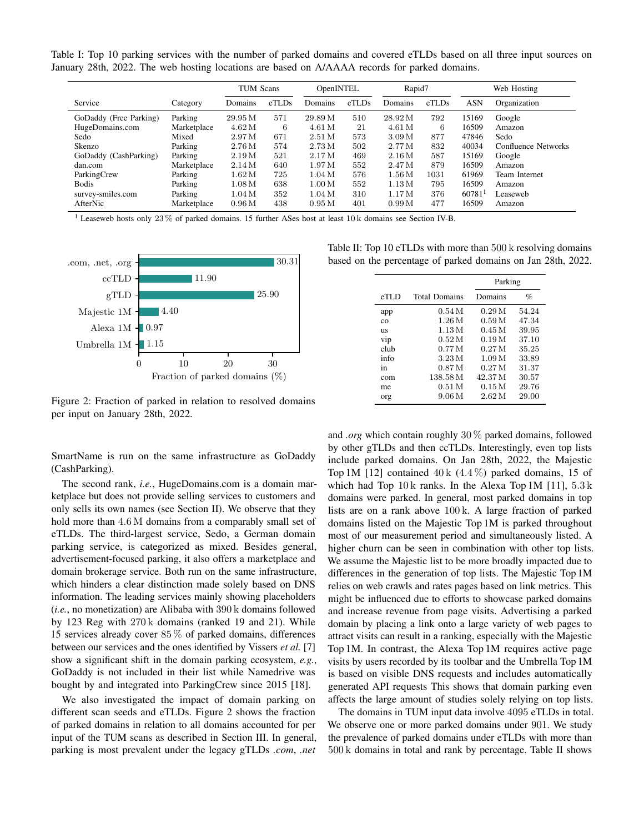Table I: Top 10 parking services with the number of parked domains and covered eTLDs based on all three input sources on January 28th, 2022. The web hosting locations are based on A/AAAA records for parked domains.

|                        |             | <b>TUM Scans</b>   |       | OpenINTEL          |       | Rapid7            |       | Web Hosting |                     |
|------------------------|-------------|--------------------|-------|--------------------|-------|-------------------|-------|-------------|---------------------|
| Service                | Category    | Domains            | eTLDs | Domains            | eTLDs | Domains           | eTLDs | <b>ASN</b>  | Organization        |
| GoDaddy (Free Parking) | Parking     | 29.95 M            | 571   | 29.89 M            | 510   | 28.92 M           | 792   | 15169       | Google              |
| HugeDomains.com        | Marketplace | 4.62M              | 6     | 4.61 M             | 21    | 4.61 M            | 6     | 16509       | Amazon              |
| Sedo                   | Mixed       | 2.97M              | 671   | 2.51M              | 573   | 3.09 <sub>M</sub> | 877   | 47846       | Sedo                |
| Skenzo                 | Parking     | $2.76\,\mathrm{M}$ | 574   | 2.73M              | 502   | 2.77M             | 832   | 40034       | Confluence Networks |
| GoDaddy (CashParking)  | Parking     | 2.19M              | 521   | 2.17M              | 469   | 2.16M             | 587   | 15169       | Google              |
| dan.com                | Marketplace | 2.14M              | 640   | 1.97M              | 552   | 2.47M             | 879   | 16509       | Amazon              |
| ParkingCrew            | Parking     | $1.62\,\mathrm{M}$ | 725   | 1.04M              | 576   | 1.56M             | 1031  | 61969       | Team Internet       |
| <b>Bodis</b>           | Parking     | $1.08\,\mathrm{M}$ | 638   | $1.00\,\mathrm{M}$ | 552   | 1.13M             | 795   | 16509       | Amazon              |
| survey-smiles.com      | Parking     | $1.04\,\mathrm{M}$ | 352   | 1.04M              | 310   | 1.17M             | 376   | 60781       | Leaseweb            |
| AfterNic               | Marketplace | $0.96\,\mathrm{M}$ | 438   | 0.95M              | 401   | 0.99 <sub>M</sub> | 477   | 16509       | Amazon              |

<sup>1</sup> Leaseweb hosts only 23 % of parked domains. 15 further ASes host at least 10 k domains see Section IV-B.



Figure 2: Fraction of parked in relation to resolved domains per input on January 28th, 2022.

SmartName is run on the same infrastructure as GoDaddy (CashParking).

The second rank, *i.e.*, HugeDomains.com is a domain marketplace but does not provide selling services to customers and only sells its own names (see Section II). We observe that they hold more than  $4.6$  M domains from a comparably small set of eTLDs. The third-largest service, Sedo, a German domain parking service, is categorized as mixed. Besides general, advertisement-focused parking, it also offers a marketplace and domain brokerage service. Both run on the same infrastructure, which hinders a clear distinction made solely based on DNS information. The leading services mainly showing placeholders (*i.e.*, no monetization) are Alibaba with 390 k domains followed by 123 Reg with 270 k domains (ranked 19 and 21). While 15 services already cover 85 % of parked domains, differences between our services and the ones identified by Vissers *et al.* [7] show a significant shift in the domain parking ecosystem, *e.g.*, GoDaddy is not included in their list while Namedrive was bought by and integrated into ParkingCrew since 2015 [18].

We also investigated the impact of domain parking on different scan seeds and eTLDs. Figure 2 shows the fraction of parked domains in relation to all domains accounted for per input of the TUM scans as described in Section III. In general, parking is most prevalent under the legacy gTLDs *.com*, *.net*

Table II: Top 10 eTLDs with more than 500 k resolving domains based on the percentage of parked domains on Jan 28th, 2022.

|             |                      | Parking           |       |  |
|-------------|----------------------|-------------------|-------|--|
| eTLD        | <b>Total Domains</b> | Domains           | %     |  |
| app         | 0.54M                | 0.29M             | 54.24 |  |
| $_{\rm co}$ | 1.26M                | 0.59M             | 47.34 |  |
| <b>US</b>   | 1.13M                | 0.45M             | 39.95 |  |
| vip         | 0.52M                | 0.19M             | 37.10 |  |
| club        | 0.77 <sub>M</sub>    | 0.27M             | 35.25 |  |
| info        | 3.23 M               | 1.09 <sub>M</sub> | 33.89 |  |
| in          | 0.87 <sub>M</sub>    | 0.27M             | 31.37 |  |
| com         | 138.58 M             | 42.37 M           | 30.57 |  |
| me          | 0.51 <sub>M</sub>    | 0.15M             | 29.76 |  |
| org         | 9.06 <sub>M</sub>    | 2.62M             | 29.00 |  |

and *.org* which contain roughly 30 % parked domains, followed by other gTLDs and then ccTLDs. Interestingly, even top lists include parked domains. On Jan 28th, 2022, the Majestic Top 1M [12] contained  $40k$  (4.4%) parked domains, 15 of which had Top  $10k$  ranks. In the Alexa Top 1M [11],  $5.3k$ domains were parked. In general, most parked domains in top lists are on a rank above 100 k. A large fraction of parked domains listed on the Majestic Top 1M is parked throughout most of our measurement period and simultaneously listed. A higher churn can be seen in combination with other top lists. We assume the Majestic list to be more broadly impacted due to differences in the generation of top lists. The Majestic Top 1M relies on web crawls and rates pages based on link metrics. This might be influenced due to efforts to showcase parked domains and increase revenue from page visits. Advertising a parked domain by placing a link onto a large variety of web pages to attract visits can result in a ranking, especially with the Majestic Top 1M. In contrast, the Alexa Top 1M requires active page visits by users recorded by its toolbar and the Umbrella Top 1M is based on visible DNS requests and includes automatically generated API requests This shows that domain parking even affects the large amount of studies solely relying on top lists.

The domains in TUM input data involve 4095 eTLDs in total. We observe one or more parked domains under 901. We study the prevalence of parked domains under eTLDs with more than 500 k domains in total and rank by percentage. Table II shows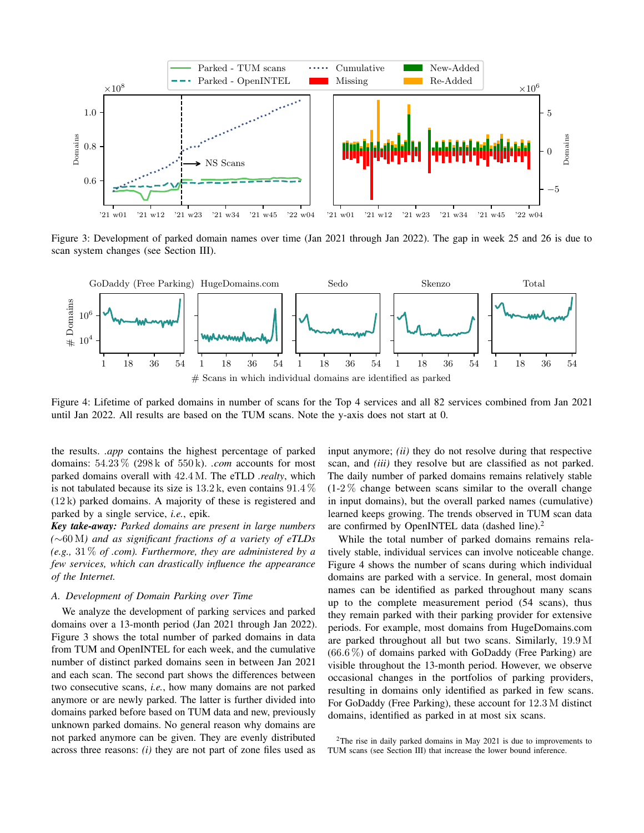

Figure 3: Development of parked domain names over time (Jan 2021 through Jan 2022). The gap in week 25 and 26 is due to scan system changes (see Section III).



Figure 4: Lifetime of parked domains in number of scans for the Top 4 services and all 82 services combined from Jan 2021 until Jan 2022. All results are based on the TUM scans. Note the y-axis does not start at 0.

the results. *.app* contains the highest percentage of parked domains: 54.23 % (298 k of 550 k). *.com* accounts for most parked domains overall with 42.4 M. The eTLD *.realty*, which is not tabulated because its size is  $13.2 \text{ k}$ , even contains  $91.4 \%$ (12 k) parked domains. A majority of these is registered and parked by a single service, *i.e.*, epik.

*Key take-away: Parked domains are present in large numbers (*∼60 M*) and as significant fractions of a variety of eTLDs (e.g.,* 31 % *of .com). Furthermore, they are administered by a few services, which can drastically influence the appearance of the Internet.*

#### *A. Development of Domain Parking over Time*

We analyze the development of parking services and parked domains over a 13-month period (Jan 2021 through Jan 2022). Figure 3 shows the total number of parked domains in data from TUM and OpenINTEL for each week, and the cumulative number of distinct parked domains seen in between Jan 2021 and each scan. The second part shows the differences between two consecutive scans, *i.e.*, how many domains are not parked anymore or are newly parked. The latter is further divided into domains parked before based on TUM data and new, previously unknown parked domains. No general reason why domains are not parked anymore can be given. They are evenly distributed across three reasons: *(i)* they are not part of zone files used as

input anymore; *(ii)* they do not resolve during that respective scan, and *(iii)* they resolve but are classified as not parked. The daily number of parked domains remains relatively stable  $(1-2\%$  change between scans similar to the overall change in input domains), but the overall parked names (cumulative) learned keeps growing. The trends observed in TUM scan data are confirmed by OpenINTEL data (dashed line).<sup>2</sup>

While the total number of parked domains remains relatively stable, individual services can involve noticeable change. Figure 4 shows the number of scans during which individual domains are parked with a service. In general, most domain names can be identified as parked throughout many scans up to the complete measurement period (54 scans), thus they remain parked with their parking provider for extensive periods. For example, most domains from HugeDomains.com are parked throughout all but two scans. Similarly, 19.9 M  $(66.6\%)$  of domains parked with GoDaddy (Free Parking) are visible throughout the 13-month period. However, we observe occasional changes in the portfolios of parking providers, resulting in domains only identified as parked in few scans. For GoDaddy (Free Parking), these account for 12.3 M distinct domains, identified as parked in at most six scans.

 $2$ The rise in daily parked domains in May 2021 is due to improvements to TUM scans (see Section III) that increase the lower bound inference.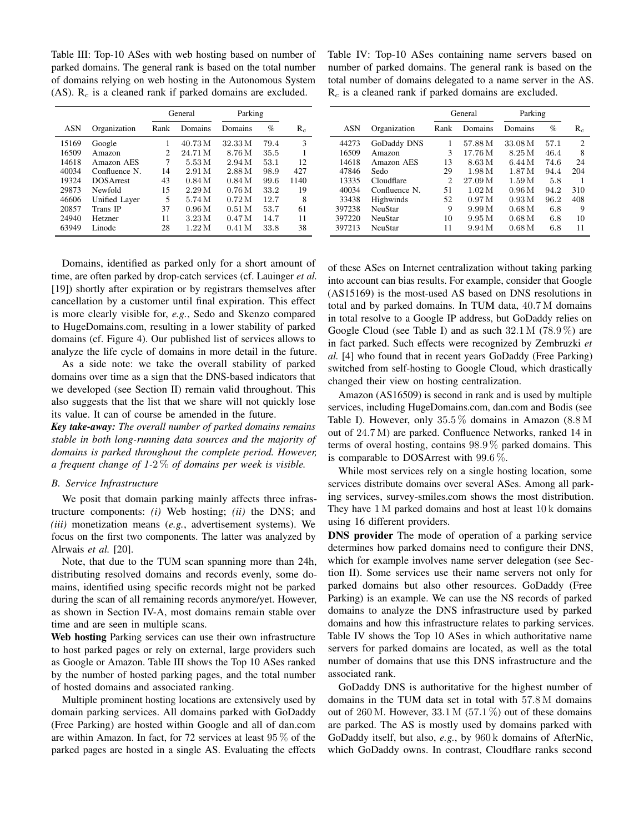Table III: Top-10 ASes with web hosting based on number of parked domains. The general rank is based on the total number of domains relying on web hosting in the Autonomous System (AS).  $R_c$  is a cleaned rank if parked domains are excluded.

|            |                  | General        |                    | Parking           |      |       |
|------------|------------------|----------------|--------------------|-------------------|------|-------|
| <b>ASN</b> | Organization     | Rank           | Domains            | Domains           | $\%$ | $R_c$ |
| 15169      | Google           | 1              | 40.73 M            | 32.33 M           | 79.4 | 3     |
| 16509      | Amazon           | $\overline{c}$ | 24.71 M            | 8.76 M            | 35.5 |       |
| 14618      | Amazon AES       | 7              | $5.53\,\mathrm{M}$ | 2.94M             | 53.1 | 12    |
| 40034      | Confluence N.    | 14             | 2.91 <sub>M</sub>  | 2.88M             | 98.9 | 427   |
| 19324      | <b>DOSArrest</b> | 43             | 0.84M              | 0.84M             | 99.6 | 1140  |
| 29873      | Newfold          | 15             | 2.29M              | 0.76M             | 33.2 | 19    |
| 46606      | Unified Layer    | 5              | 5.74 M             | 0.72M             | 12.7 | 8     |
| 20857      | Trans IP         | 37             | 0.96 <sub>M</sub>  | 0.51 <sub>M</sub> | 53.7 | 61    |
| 24940      | Hetzner          | 11             | 3.23 <sub>M</sub>  | 0.47 <sub>M</sub> | 14.7 | 11    |
| 63949      | Linode           | 28             | 1.22M              | 0.41 <sub>M</sub> | 33.8 | 38    |

Table IV: Top-10 ASes containing name servers based on number of parked domains. The general rank is based on the total number of domains delegated to a name server in the AS.  $R_c$  is a cleaned rank if parked domains are excluded.

|            |                | General        |         | Parking |      |                |
|------------|----------------|----------------|---------|---------|------|----------------|
| <b>ASN</b> | Organization   | Rank           | Domains | Domains | $\%$ | $R_c$          |
| 44273      | GoDaddy DNS    | 1              | 57.88 M | 33.08 M | 57.1 | $\overline{c}$ |
| 16509      | Amazon         | 3              | 17.76 M | 8.25 M  | 46.4 | 8              |
| 14618      | Amazon AES     | 13             | 8.63 M  | 6.44M   | 74.6 | 24             |
| 47846      | Sedo           | 29             | 1.98 M  | 1.87 M  | 94.4 | 204            |
| 13335      | Cloudflare     | $\overline{c}$ | 27.09 M | 1.59M   | 5.8  |                |
| 40034      | Confluence N.  | 51             | 1.02M   | 0.96M   | 94.2 | 310            |
| 33438      | Highwinds      | 52             | 0.97M   | 0.93M   | 96.2 | 408            |
| 397238     | <b>NeuStar</b> | 9              | 9.99 M  | 0.68M   | 6.8  | 9              |
| 397220     | <b>NeuStar</b> | 10             | 9.95M   | 0.68M   | 6.8  | 10             |
| 397213     | <b>NeuStar</b> | 11             | 9.94 M  | 0.68M   | 6.8  | 11             |

Domains, identified as parked only for a short amount of time, are often parked by drop-catch services (cf. Lauinger *et al.* [19]) shortly after expiration or by registrars themselves after cancellation by a customer until final expiration. This effect is more clearly visible for, *e.g.*, Sedo and Skenzo compared to HugeDomains.com, resulting in a lower stability of parked domains (cf. Figure 4). Our published list of services allows to analyze the life cycle of domains in more detail in the future.

As a side note: we take the overall stability of parked domains over time as a sign that the DNS-based indicators that we developed (see Section II) remain valid throughout. This also suggests that the list that we share will not quickly lose its value. It can of course be amended in the future.

*Key take-away: The overall number of parked domains remains stable in both long-running data sources and the majority of domains is parked throughout the complete period. However, a frequent change of 1-*2 % *of domains per week is visible.*

## *B. Service Infrastructure*

We posit that domain parking mainly affects three infrastructure components: *(i)* Web hosting; *(ii)* the DNS; and *(iii)* monetization means (*e.g.*, advertisement systems). We focus on the first two components. The latter was analyzed by Alrwais *et al.* [20].

Note, that due to the TUM scan spanning more than 24h, distributing resolved domains and records evenly, some domains, identified using specific records might not be parked during the scan of all remaining records anymore/yet. However, as shown in Section IV-A, most domains remain stable over time and are seen in multiple scans.

Web hosting Parking services can use their own infrastructure to host parked pages or rely on external, large providers such as Google or Amazon. Table III shows the Top 10 ASes ranked by the number of hosted parking pages, and the total number of hosted domains and associated ranking.

Multiple prominent hosting locations are extensively used by domain parking services. All domains parked with GoDaddy (Free Parking) are hosted within Google and all of dan.com are within Amazon. In fact, for 72 services at least 95 % of the parked pages are hosted in a single AS. Evaluating the effects of these ASes on Internet centralization without taking parking into account can bias results. For example, consider that Google (AS15169) is the most-used AS based on DNS resolutions in total and by parked domains. In TUM data, 40.7 M domains in total resolve to a Google IP address, but GoDaddy relies on Google Cloud (see Table I) and as such  $32.1 M$  (78.9%) are in fact parked. Such effects were recognized by Zembruzki *et al.* [4] who found that in recent years GoDaddy (Free Parking) switched from self-hosting to Google Cloud, which drastically changed their view on hosting centralization.

Amazon (AS16509) is second in rank and is used by multiple services, including HugeDomains.com, dan.com and Bodis (see Table I). However, only 35.5 % domains in Amazon (8.8 M out of 24.7 M) are parked. Confluence Networks, ranked 14 in terms of overal hosting, contains 98.9 % parked domains. This is comparable to DOSArrest with 99.6 %.

While most services rely on a single hosting location, some services distribute domains over several ASes. Among all parking services, survey-smiles.com shows the most distribution. They have 1 M parked domains and host at least 10 k domains using 16 different providers.

DNS provider The mode of operation of a parking service determines how parked domains need to configure their DNS, which for example involves name server delegation (see Section II). Some services use their name servers not only for parked domains but also other resources. GoDaddy (Free Parking) is an example. We can use the NS records of parked domains to analyze the DNS infrastructure used by parked domains and how this infrastructure relates to parking services. Table IV shows the Top 10 ASes in which authoritative name servers for parked domains are located, as well as the total number of domains that use this DNS infrastructure and the associated rank.

GoDaddy DNS is authoritative for the highest number of domains in the TUM data set in total with 57.8 M domains out of 260 M. However,  $33.1 M$  (57.1%) out of these domains are parked. The AS is mostly used by domains parked with GoDaddy itself, but also, *e.g.*, by 960 k domains of AfterNic, which GoDaddy owns. In contrast, Cloudflare ranks second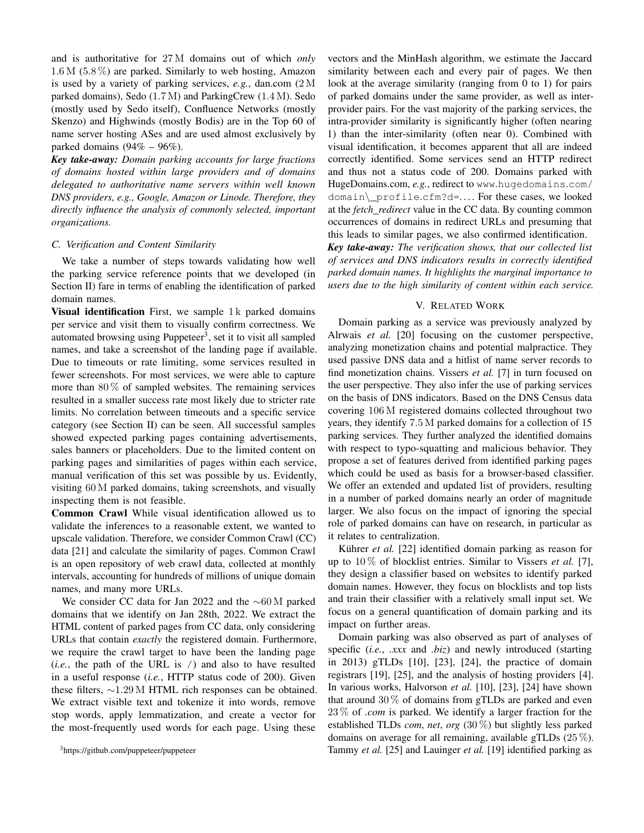and is authoritative for 27 M domains out of which *only*  $1.6 M$  (5.8%) are parked. Similarly to web hosting, Amazon is used by a variety of parking services, *e.g.*, dan.com (2 M parked domains), Sedo (1.7 M) and ParkingCrew (1.4 M). Sedo (mostly used by Sedo itself), Confluence Networks (mostly Skenzo) and Highwinds (mostly Bodis) are in the Top 60 of name server hosting ASes and are used almost exclusively by parked domains  $(94\% - 96\%)$ .

*Key take-away: Domain parking accounts for large fractions of domains hosted within large providers and of domains delegated to authoritative name servers within well known DNS providers, e.g., Google, Amazon or Linode. Therefore, they directly influence the analysis of commonly selected, important organizations.*

#### *C. Verification and Content Similarity*

We take a number of steps towards validating how well the parking service reference points that we developed (in Section II) fare in terms of enabling the identification of parked domain names.

Visual identification First, we sample  $1 \text{ k}$  parked domains per service and visit them to visually confirm correctness. We automated browsing using Puppeteer<sup>3</sup>, set it to visit all sampled names, and take a screenshot of the landing page if available. Due to timeouts or rate limiting, some services resulted in fewer screenshots. For most services, we were able to capture more than  $80\%$  of sampled websites. The remaining services resulted in a smaller success rate most likely due to stricter rate limits. No correlation between timeouts and a specific service category (see Section II) can be seen. All successful samples showed expected parking pages containing advertisements, sales banners or placeholders. Due to the limited content on parking pages and similarities of pages within each service, manual verification of this set was possible by us. Evidently, visiting 60 M parked domains, taking screenshots, and visually inspecting them is not feasible.

Common Crawl While visual identification allowed us to validate the inferences to a reasonable extent, we wanted to upscale validation. Therefore, we consider Common Crawl (CC) data [21] and calculate the similarity of pages. Common Crawl is an open repository of web crawl data, collected at monthly intervals, accounting for hundreds of millions of unique domain names, and many more URLs.

We consider CC data for Jan 2022 and the ∼60 M parked domains that we identify on Jan 28th, 2022. We extract the HTML content of parked pages from CC data, only considering URLs that contain *exactly* the registered domain. Furthermore, we require the crawl target to have been the landing page (*i.e.*, the path of the URL is /) and also to have resulted in a useful response (*i.e.*, HTTP status code of 200). Given these filters, ∼1.29 M HTML rich responses can be obtained. We extract visible text and tokenize it into words, remove stop words, apply lemmatization, and create a vector for the most-frequently used words for each page. Using these

vectors and the MinHash algorithm, we estimate the Jaccard similarity between each and every pair of pages. We then look at the average similarity (ranging from 0 to 1) for pairs of parked domains under the same provider, as well as interprovider pairs. For the vast majority of the parking services, the intra-provider similarity is significantly higher (often nearing 1) than the inter-similarity (often near 0). Combined with visual identification, it becomes apparent that all are indeed correctly identified. Some services send an HTTP redirect and thus not a status code of 200. Domains parked with HugeDomains.com, *e.g.*, redirect to www.hugedomains.com/ domain\\_profile.cfm?d=. . . . For these cases, we looked at the *fetch redirect* value in the CC data. By counting common occurrences of domains in redirect URLs and presuming that this leads to similar pages, we also confirmed identification.

*Key take-away: The verification shows, that our collected list of services and DNS indicators results in correctly identified parked domain names. It highlights the marginal importance to users due to the high similarity of content within each service.*

## V. RELATED WORK

Domain parking as a service was previously analyzed by Alrwais *et al.* [20] focusing on the customer perspective, analyzing monetization chains and potential malpractice. They used passive DNS data and a hitlist of name server records to find monetization chains. Vissers *et al.* [7] in turn focused on the user perspective. They also infer the use of parking services on the basis of DNS indicators. Based on the DNS Census data covering 106 M registered domains collected throughout two years, they identify 7.5 M parked domains for a collection of 15 parking services. They further analyzed the identified domains with respect to typo-squatting and malicious behavior. They propose a set of features derived from identified parking pages which could be used as basis for a browser-based classifier. We offer an extended and updated list of providers, resulting in a number of parked domains nearly an order of magnitude larger. We also focus on the impact of ignoring the special role of parked domains can have on research, in particular as it relates to centralization.

Kührer et al. [22] identified domain parking as reason for up to 10 % of blocklist entries. Similar to Vissers *et al.* [7], they design a classifier based on websites to identify parked domain names. However, they focus on blocklists and top lists and train their classifier with a relatively small input set. We focus on a general quantification of domain parking and its impact on further areas.

Domain parking was also observed as part of analyses of specific (*i.e.*, *.xxx* and *.biz*) and newly introduced (starting in 2013) gTLDs [10], [23], [24], the practice of domain registrars [19], [25], and the analysis of hosting providers [4]. In various works, Halvorson *et al.* [10], [23], [24] have shown that around  $30\%$  of domains from gTLDs are parked and even 23 % of *.com* is parked. We identify a larger fraction for the established TLDs *com*, *net*, *org* (30 %) but slightly less parked domains on average for all remaining, available gTLDs  $(25\%)$ . Tammy *et al.* [25] and Lauinger *et al.* [19] identified parking as

<sup>3</sup>https://github.com/puppeteer/puppeteer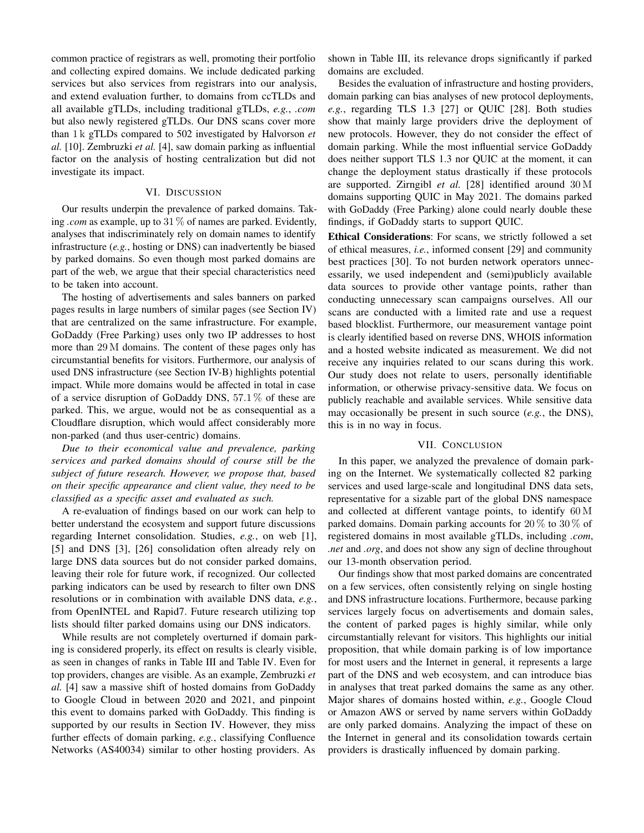common practice of registrars as well, promoting their portfolio and collecting expired domains. We include dedicated parking services but also services from registrars into our analysis, and extend evaluation further, to domains from ccTLDs and all available gTLDs, including traditional gTLDs, *e.g.*, *.com* but also newly registered gTLDs. Our DNS scans cover more than 1 k gTLDs compared to 502 investigated by Halvorson *et al.* [10]. Zembruzki *et al.* [4], saw domain parking as influential factor on the analysis of hosting centralization but did not investigate its impact.

# VI. DISCUSSION

Our results underpin the prevalence of parked domains. Taking *.com* as example, up to 31 % of names are parked. Evidently, analyses that indiscriminately rely on domain names to identify infrastructure (*e.g.*, hosting or DNS) can inadvertently be biased by parked domains. So even though most parked domains are part of the web, we argue that their special characteristics need to be taken into account.

The hosting of advertisements and sales banners on parked pages results in large numbers of similar pages (see Section IV) that are centralized on the same infrastructure. For example, GoDaddy (Free Parking) uses only two IP addresses to host more than 29 M domains. The content of these pages only has circumstantial benefits for visitors. Furthermore, our analysis of used DNS infrastructure (see Section IV-B) highlights potential impact. While more domains would be affected in total in case of a service disruption of GoDaddy DNS, 57.1 % of these are parked. This, we argue, would not be as consequential as a Cloudflare disruption, which would affect considerably more non-parked (and thus user-centric) domains.

*Due to their economical value and prevalence, parking services and parked domains should of course still be the subject of future research. However, we propose that, based on their specific appearance and client value, they need to be classified as a specific asset and evaluated as such.*

A re-evaluation of findings based on our work can help to better understand the ecosystem and support future discussions regarding Internet consolidation. Studies, *e.g.*, on web [1], [5] and DNS [3], [26] consolidation often already rely on large DNS data sources but do not consider parked domains, leaving their role for future work, if recognized. Our collected parking indicators can be used by research to filter own DNS resolutions or in combination with available DNS data, *e.g.*, from OpenINTEL and Rapid7. Future research utilizing top lists should filter parked domains using our DNS indicators.

While results are not completely overturned if domain parking is considered properly, its effect on results is clearly visible, as seen in changes of ranks in Table III and Table IV. Even for top providers, changes are visible. As an example, Zembruzki *et al.* [4] saw a massive shift of hosted domains from GoDaddy to Google Cloud in between 2020 and 2021, and pinpoint this event to domains parked with GoDaddy. This finding is supported by our results in Section IV. However, they miss further effects of domain parking, *e.g.*, classifying Confluence Networks (AS40034) similar to other hosting providers. As

shown in Table III, its relevance drops significantly if parked domains are excluded.

Besides the evaluation of infrastructure and hosting providers, domain parking can bias analyses of new protocol deployments, *e.g.*, regarding TLS 1.3 [27] or QUIC [28]. Both studies show that mainly large providers drive the deployment of new protocols. However, they do not consider the effect of domain parking. While the most influential service GoDaddy does neither support TLS 1.3 nor QUIC at the moment, it can change the deployment status drastically if these protocols are supported. Zirngibl *et al.* [28] identified around 30 M domains supporting QUIC in May 2021. The domains parked with GoDaddy (Free Parking) alone could nearly double these findings, if GoDaddy starts to support QUIC.

Ethical Considerations: For scans, we strictly followed a set of ethical measures, *i.e.*, informed consent [29] and community best practices [30]. To not burden network operators unnecessarily, we used independent and (semi)publicly available data sources to provide other vantage points, rather than conducting unnecessary scan campaigns ourselves. All our scans are conducted with a limited rate and use a request based blocklist. Furthermore, our measurement vantage point is clearly identified based on reverse DNS, WHOIS information and a hosted website indicated as measurement. We did not receive any inquiries related to our scans during this work. Our study does not relate to users, personally identifiable information, or otherwise privacy-sensitive data. We focus on publicly reachable and available services. While sensitive data may occasionally be present in such source (*e.g.*, the DNS), this is in no way in focus.

#### VII. CONCLUSION

In this paper, we analyzed the prevalence of domain parking on the Internet. We systematically collected 82 parking services and used large-scale and longitudinal DNS data sets, representative for a sizable part of the global DNS namespace and collected at different vantage points, to identify 60 M parked domains. Domain parking accounts for 20 % to 30 % of registered domains in most available gTLDs, including *.com*, *.net* and *.org*, and does not show any sign of decline throughout our 13-month observation period.

Our findings show that most parked domains are concentrated on a few services, often consistently relying on single hosting and DNS infrastructure locations. Furthermore, because parking services largely focus on advertisements and domain sales, the content of parked pages is highly similar, while only circumstantially relevant for visitors. This highlights our initial proposition, that while domain parking is of low importance for most users and the Internet in general, it represents a large part of the DNS and web ecosystem, and can introduce bias in analyses that treat parked domains the same as any other. Major shares of domains hosted within, *e.g.*, Google Cloud or Amazon AWS or served by name servers within GoDaddy are only parked domains. Analyzing the impact of these on the Internet in general and its consolidation towards certain providers is drastically influenced by domain parking.